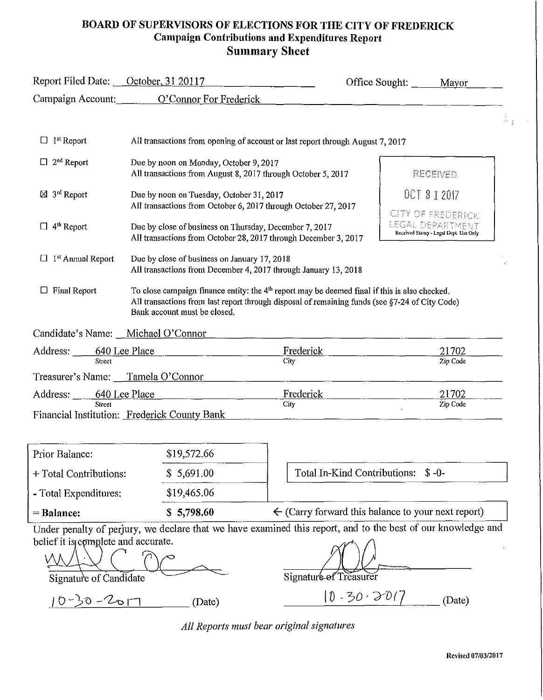#### **BOARD OF SUPERVISORS OF ELECTIONS FOR THE CITY OF FREDERICK Campaign Contributions and Expenditures Report Summary Sheet**

| Report Filed Date: October, 31 20117 |                                                                                                                           |                                                                                                                                                                                                             | Office Sought: _<br>Mayor                                 |
|--------------------------------------|---------------------------------------------------------------------------------------------------------------------------|-------------------------------------------------------------------------------------------------------------------------------------------------------------------------------------------------------------|-----------------------------------------------------------|
|                                      | Campaign Account: O'Connor For Frederick                                                                                  |                                                                                                                                                                                                             |                                                           |
|                                      |                                                                                                                           |                                                                                                                                                                                                             |                                                           |
| <sup>1st</sup> Report                |                                                                                                                           | All transactions from opening of account or last report through August 7, 2017                                                                                                                              |                                                           |
| $2nd$ Report                         | Due by noon on Monday, October 9, 2017<br>All transactions from August 8, 2017 through October 5, 2017                    |                                                                                                                                                                                                             | RECEIVED                                                  |
| $\boxtimes$ 3 <sup>rd</sup> Report   | Due by noon on Tuesday, October 31, 2017                                                                                  |                                                                                                                                                                                                             | OCT 3 1 2017                                              |
|                                      | All transactions from October 6, 2017 through October 27, 2017                                                            |                                                                                                                                                                                                             | CITY OF FREDERICK                                         |
| $\Box$ 4 <sup>th</sup> Report        | Due by close of business on Thursday, December 7, 2017<br>All transactions from October 28, 2017 through December 3, 2017 |                                                                                                                                                                                                             | LEGAL DEPARTMENT<br>Received Stamp - Legal Dept. Use Only |
| $\Box$ 1 <sup>st</sup> Annual Report | Due by close of business on January 17, 2018<br>All transactions from December 4, 2017 through January 13, 2018           |                                                                                                                                                                                                             |                                                           |
| $\Box$ Final Report                  | Bank account must be closed,                                                                                              | To close campaign finance entity: the 4 <sup>th</sup> report may be deemed final if this is also checked.<br>All transactions from last report through disposal of remaining funds (see §7-24 of City Code) |                                                           |
| Candidate's Name: Michael O'Connor   |                                                                                                                           |                                                                                                                                                                                                             |                                                           |
| Address: 640 Lee Place               |                                                                                                                           | Frederick                                                                                                                                                                                                   | 21702                                                     |
| Street                               |                                                                                                                           | City                                                                                                                                                                                                        | Zip Code                                                  |
| Treasurer's Name: Tamela O'Connor    |                                                                                                                           |                                                                                                                                                                                                             |                                                           |
| Address: 640 Lee Place               |                                                                                                                           | Frederick                                                                                                                                                                                                   | 21702                                                     |
| Street                               | Financial Institution: Frederick County Bank                                                                              | <b>City</b>                                                                                                                                                                                                 | Zip Code                                                  |
|                                      |                                                                                                                           |                                                                                                                                                                                                             |                                                           |

| $=$ Balance:           | \$5,798.60  | $\leftarrow$ (Carry forward this balance to your next report) |
|------------------------|-------------|---------------------------------------------------------------|
| - Total Expenditures:  | \$19,465,06 |                                                               |
| + Total Contributions: | \$5,691.00  | Total In-Kind Contributions: \$-0-                            |
| Prior Balance:         | \$19,572.66 |                                                               |

Under penalty of perjury, we declare that we have examined this report, and to the best of our knowledge and belief it is complete and accurate.  $\alpha$ <sup>t</sup>

'M~\_ C Db C', ----I-/~JUb\E-;~r:====,-- Signature of Candidate ------- Signaturt!7Treasurer'"

*Signature of Candidate* <br> *10-30-2*017 (Date)  $\frac{10-30-201}{(20+1)^2}$  (Date)

*All Reports must bear original signatures*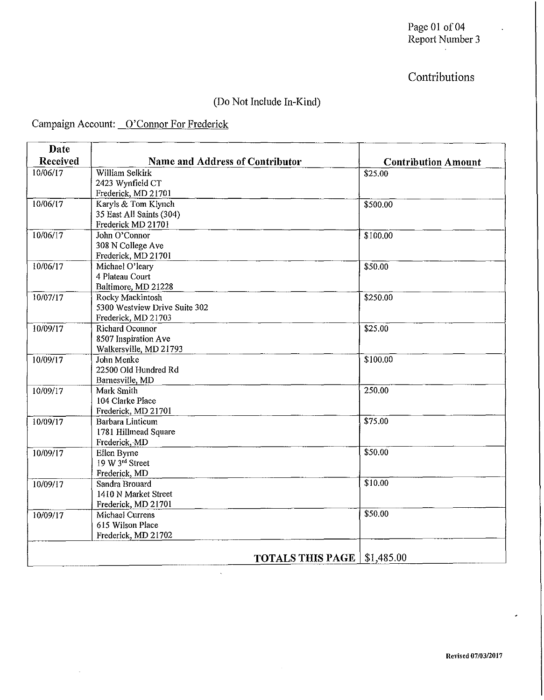#### Page 01 of 04 Report Number 3

## Contributions

### (Do Not Include In-Kind)

### Campaign Account: O'Connor For Frederick

 $\hat{\phi}$ 

| Date     |                                         |                            |
|----------|-----------------------------------------|----------------------------|
| Received | <b>Name and Address of Contributor</b>  | <b>Contribution Amount</b> |
| 10/06/17 | William Selkirk                         | \$25.00                    |
|          | 2423 Wynfield CT                        |                            |
|          | Frederick, MD 21701                     |                            |
| 10/06/17 | Karyls & Tom Klynch                     | \$500.00                   |
|          | 35 East All Saints (304)                |                            |
|          | Frederick MD 21701                      |                            |
| 10/06/17 | John O'Connor                           | \$100.00                   |
|          | 308 N College Ave                       |                            |
| 10/06/17 | Frederick, MD 21701                     |                            |
|          | Michael O'leary<br>4 Plateau Court      | \$50.00                    |
|          |                                         |                            |
| 10/07/17 | Baltimore, MD 21228<br>Rocky Mackintosh | \$250.00                   |
|          | 5300 Westview Drive Suite 302           |                            |
|          | Frederick, MD 21703                     |                            |
| 10/09/17 | Richard Oconnor                         | \$25.00                    |
|          | 8507 Inspiration Ave                    |                            |
|          | Walkersville, MD 21793                  |                            |
| 10/09/17 | John Menke                              | \$100.00                   |
|          | 22500 Old Hundred Rd                    |                            |
|          | Barnesville, MD                         |                            |
| 10/09/17 | Mark Smith                              | 250.00                     |
|          | 104 Clarke Place                        |                            |
|          | Frederick, MD 21701                     |                            |
| 10/09/17 | <b>Barbara Linticum</b>                 | \$75.00                    |
|          | 1781 Hillmead Square                    |                            |
|          | Frederick, MD                           |                            |
| 10/09/17 | Ellen Byrne                             | \$50.00                    |
|          | 19 W 3rd Street                         |                            |
|          | Frederick, MD                           |                            |
| 10/09/17 | Sandra Brouard                          | \$10.00                    |
|          | 1410 N Market Street                    |                            |
|          | Frederick, MD 21701                     |                            |
| 10/09/17 | Michael Currens                         | \$50.00                    |
|          | 615 Wilson Place                        |                            |
|          | Frederick, MD 21702                     |                            |
|          | <b>TOTALS THIS PAGE</b>                 | \$1,485.00                 |
|          |                                         |                            |

 $\bar{\alpha}$ 

 $\bar{\mathcal{A}}$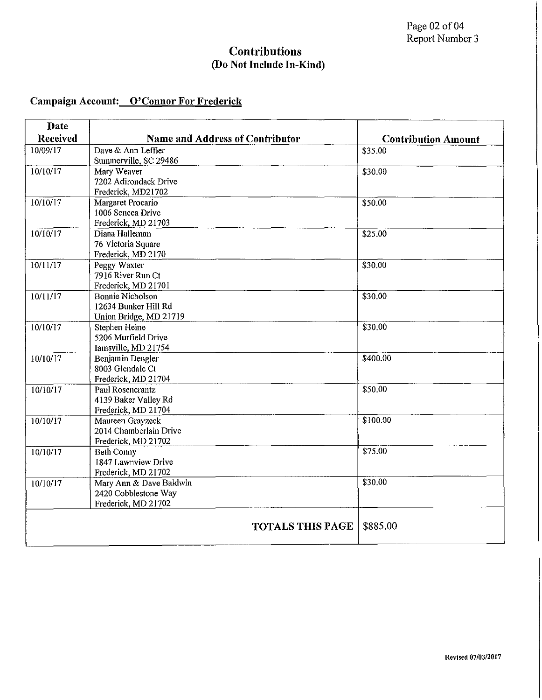#### **Contributions (Do Not Include In-Kind)**

### **Campaign Account: O'Connor For Frederick**

| Date     |                                        |                            |
|----------|----------------------------------------|----------------------------|
| Received | <b>Name and Address of Contributor</b> | <b>Contribution Amount</b> |
| 10/09/17 | Dave & Ann Leffler                     | \$35.00                    |
|          | Summerville, SC 29486                  |                            |
| 10/10/17 | Mary Weaver                            | \$30.00                    |
|          | 7202 Adirondack Drive                  |                            |
|          | Frederick, MD21702                     |                            |
| 10/10/17 | Margaret Procario                      | \$50.00                    |
|          | 1006 Seneca Drive                      |                            |
|          | Frederick, MD 21703                    |                            |
| 10/10/17 | Diana Halleman                         | \$25.00                    |
|          | 76 Victoria Square                     |                            |
|          | Frederick, MD 2170                     |                            |
| 10/11/17 | Peggy Waxter                           | \$30.00                    |
|          | 7916 River Run Ct                      |                            |
|          | Frederick, MD 21701                    |                            |
| 10/11/17 | <b>Bonnie Nicholson</b>                | \$30.00                    |
|          | 12634 Bunker Hill Rd                   |                            |
|          | Union Bridge, MD 21719                 |                            |
| 10/10/17 | Stephen Heine                          | \$30.00                    |
|          | 5206 Murfield Drive                    |                            |
|          | Iamsville, MD 21754                    | \$400.00                   |
| 10/10/17 | Benjamin Dengler<br>8003 Glendale Ct   |                            |
|          | Frederick, MD 21704                    |                            |
| 10/10/17 | Paul Rosencrantz                       | \$50.00                    |
|          | 4139 Baker Valley Rd                   |                            |
|          | Frederick, MD 21704                    |                            |
| 10/10/17 | Maureen Grayzeck                       | \$100.00                   |
|          | 2014 Chamberlain Drive                 |                            |
|          | Frederick, MD 21702                    |                            |
| 10/10/17 | Beth Conny                             | \$75.00                    |
|          | 1847 Lawnview Drive                    |                            |
|          | Frederick, MD 21702                    |                            |
| 10/10/17 | Mary Ann & Dave Baldwin                | \$30.00                    |
|          | 2420 Cobblestone Way                   |                            |
|          | Frederick, MD 21702                    |                            |
|          |                                        |                            |
|          | <b>TOTALS THIS PAGE</b>                | \$885.00                   |
|          | $\lambda$                              |                            |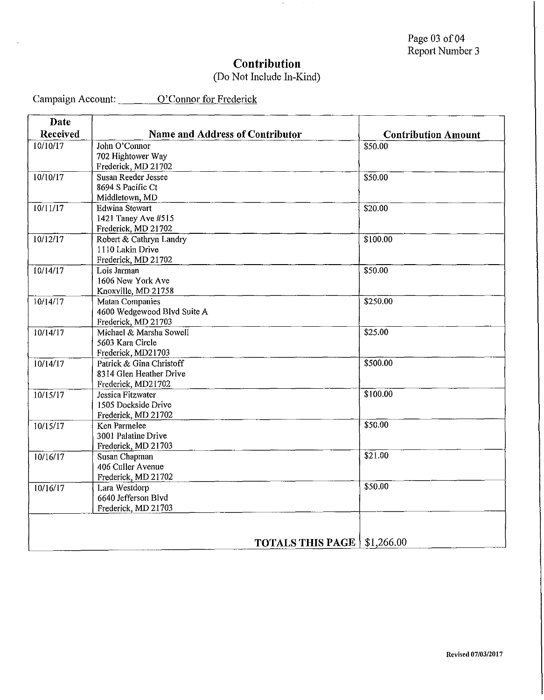## **Contribution**

#### (Do Not Include In-Kind)

Campaign Account: \_\_\_\_\_\_\_\_ O'Connor for Frederick

 $\ddot{\phantom{a}}$ 

| <b>Date</b>     |                                        |                            |
|-----------------|----------------------------------------|----------------------------|
| <b>Received</b> | <b>Name and Address of Contributor</b> | <b>Contribution Amount</b> |
| 10/10/17        | John O'Connor                          | \$50.00                    |
|                 | 702 Hightower Way                      |                            |
|                 | Frederick, MD 21702                    |                            |
| 10/10/17        | Susan Reeder Jessee                    | \$50.00                    |
|                 | 8694 S Pacific Ct                      |                            |
|                 | Middletown, MD                         |                            |
| 10/11/17        | <b>Edwina Stewart</b>                  | \$20.00                    |
|                 | 1421 Taney Ave #515                    |                            |
|                 | Frederick, MD 21702                    |                            |
| 10/12/17        | Robert & Cathryn Landry                | \$100.00                   |
|                 | 1110 Lakin Drive                       |                            |
|                 | Frederick, MD 21702                    |                            |
| 10/14/17        | Lois Jarman                            | \$50.00                    |
|                 | 1606 New York Ave                      |                            |
|                 | Knoxville, MD 21758                    |                            |
| 10/14/17        | Matan Companies                        | \$250.00                   |
|                 | 4600 Wedgewood Blvd Suite A            |                            |
|                 | Frederick, MD 21703                    |                            |
| 10/14/17        | Michael & Marsha Sowell                | $\sqrt{$25.00}$            |
|                 | 5603 Kara Circle                       |                            |
|                 | Frederick, MD21703                     |                            |
| 10/14/17        | Patrick & Gina Christoff               | \$500.00                   |
|                 | 8314 Glen Heather Drive                |                            |
|                 | Frederick, MD21702                     |                            |
| 10/15/17        | Jessica Fitzwater                      | \$100.00                   |
|                 | 1505 Dockside Drive                    |                            |
|                 | Frederick, MD 21702                    |                            |
| 10/15/17        | Ken Parmelee                           | \$50.00                    |
|                 | 3001 Palatine Drive                    |                            |
|                 | Frederick, MD 21703                    |                            |
| 10/16/17        | Susan Chapman                          | \$21.00                    |
|                 | 406 Culler Avenue                      |                            |
|                 | Frederick, MD 21702                    |                            |
| 10/16/17        | Lara Westdorp                          | \$50.00                    |
|                 | 6640 Jefferson Blyd                    |                            |
|                 | Frederick, MD 21703                    |                            |
|                 |                                        |                            |
|                 |                                        |                            |
|                 |                                        |                            |
|                 | <b>TOTALS THIS PAGE   \$1,266.00</b>   |                            |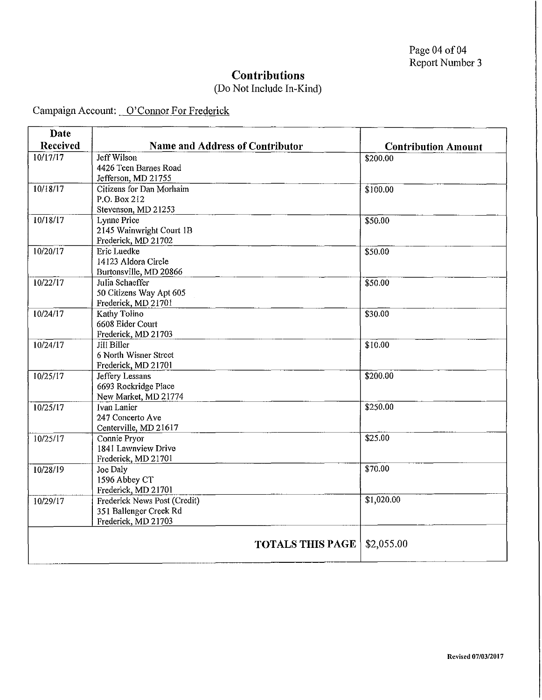### **Contributions**

### (Do Not Include In-Kind)

Campaign Account: O'Connor For Frederick

| Date     |                                                        |                            |
|----------|--------------------------------------------------------|----------------------------|
| Received | Name and Address of Contributor                        | <b>Contribution Amount</b> |
| 10/17/17 | Jeff Wilson                                            | \$200.00                   |
|          | 4426 Teen Barnes Road                                  |                            |
|          | Jefferson, MD 21755                                    |                            |
| 10/18/17 | Citizens for Dan Morhaim<br>P.O. Box 212               | \$100.00                   |
|          | Stevenson, MD 21253                                    |                            |
| 10/18/17 | Lynne Price                                            | \$50.00                    |
|          | 2145 Wainwright Court 1B                               |                            |
|          | Frederick, MD 21702                                    |                            |
| 10/20/17 | Eric Luedke                                            | \$50.00                    |
|          | 14123 Aldora Circle                                    |                            |
|          | Burtonsville, MD 20866                                 |                            |
| 10/22/17 | Julia Schaeffer                                        | \$50.00                    |
|          | 50 Citizens Way Apt 605                                |                            |
|          | Frederick, MD 21701                                    |                            |
| 10/24/17 | Kathy Tolino                                           | \$30.00                    |
|          | 6608 Eider Court                                       |                            |
|          | Frederick, MD 21703                                    |                            |
| 10/24/17 | Jill Biller<br>6 North Wisner Street                   | \$10.00                    |
|          | Frederick, MD 21701                                    |                            |
| 10/25/17 | Jeffery Lessans                                        | \$200.00                   |
|          | 6693 Rockridge Place                                   |                            |
|          | New Market, MD 21774                                   |                            |
| 10/25/17 | Ivan Lanier                                            | \$250.00                   |
|          | 247 Concerto Ave                                       |                            |
|          | Centerville, MD 21617                                  |                            |
| 10/25/17 | Connie Pryor                                           | $\overline{$25.00}$        |
|          | 1841 Lawnview Drive                                    |                            |
|          | Frederick, MD 21701                                    |                            |
| 10/28/19 | Joe Daly                                               | \$70.00                    |
|          | 1596 Abbey CT                                          |                            |
|          | Frederick, MD 21701                                    | \$1,020.00                 |
| 10/29/17 | Frederick News Post (Credit)<br>351 Ballenger Creek Rd |                            |
|          | Frederick, MD 21703                                    |                            |
|          |                                                        |                            |
|          | <b>TOTALS THIS PAGE</b>                                | \$2,055.00                 |
|          |                                                        |                            |
|          |                                                        |                            |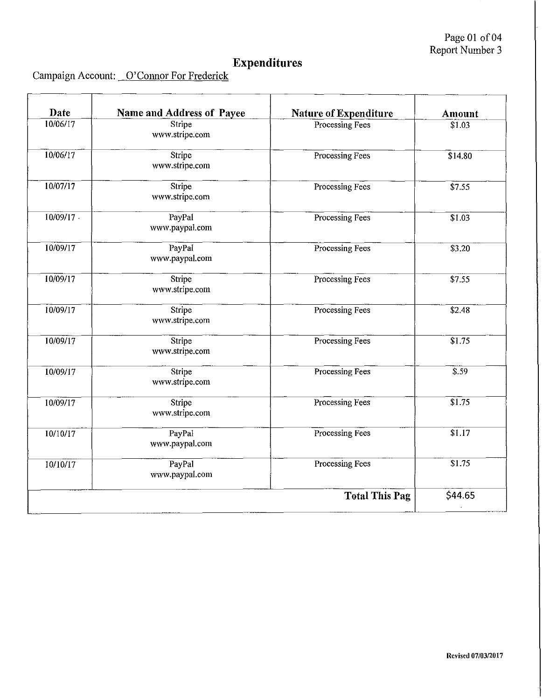Page **01** of 04 Report Number 3

## **Expenditures**

Campaign Account: O'Connor For Frederick

| Date         | Name and Address of Payee | <b>Nature of Expenditure</b> | Amount          |
|--------------|---------------------------|------------------------------|-----------------|
| 10/06/17     | Stripe<br>www.stripe.com  | Processing Fees              | \$1.03          |
| 10/06/17     | Stripe<br>www.stripe.com  | Processing Fees              | $\sqrt{$}14.80$ |
| 10/07/17     | Stripe<br>www.stripe.com  | Processing Fees              | \$7.55          |
| $10/09/17$ . | PayPal<br>www.paypal.com  | Processing Fees              | \$1.03          |
| 10/09/17     | PayPal<br>www.paypal.com  | Processing Fees              | \$3.20          |
| 10/09/17     | Stripe<br>www.stripe.com  | Processing Fees              | \$7.55          |
| 10/09/17     | Stripe<br>www.stripe.com  | Processing Fees              | \$2.48          |
| 10/09/17     | Stripe<br>www.stripe.com  | Processing Fees              | \$1.75          |
| 10/09/17     | Stripe<br>www.stripe.com  | Processing Fees              | \$.59           |
| 10/09/17     | Stripe<br>www.stripe.com  | Processing Fees              | \$1.75          |
| 10/10/17     | PayPal<br>www.paypal.com  | Processing Fees              | \$1.17          |
| 10/10/17     | PayPal<br>www.paypal.com  | Processing Fees              | \$1.75          |
|              |                           | <b>Total This Pag</b>        | \$44.65         |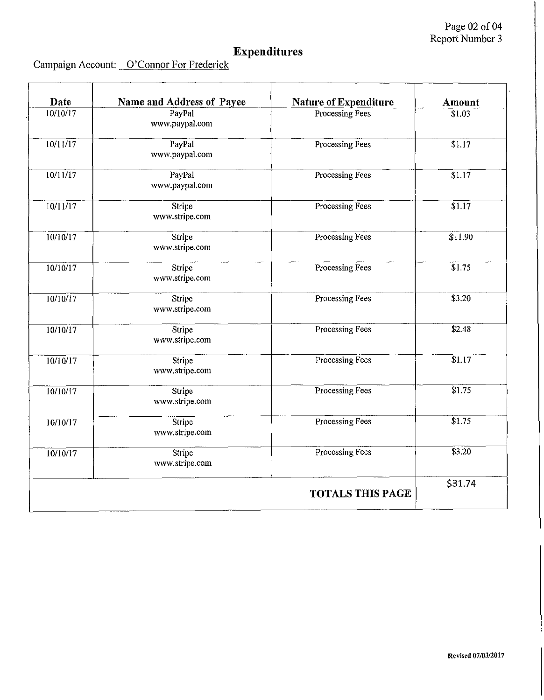# **Expenditures**

|  | Campaign Account: O'Connor For Frederick |
|--|------------------------------------------|
|--|------------------------------------------|

| Date     | Name and Address of Payee | <b>Nature of Expenditure</b> | <b>Amount</b>      |
|----------|---------------------------|------------------------------|--------------------|
| 10/10/17 | PayPal<br>www.paypal.com  | Processing Fees              | \$1.03             |
| 10/11/17 | PayPal<br>www.paypal.com  | Processing Fees              | \$1.17             |
| 10/11/17 | PayPal<br>www.paypal.com  | Processing Fees              | \$1.17             |
| 10/11/17 | Stripe<br>www.stripe.com  | Processing Fees              | $\overline{$1.17}$ |
| 10/10/17 | Stripe<br>www.stripe.com  | Processing Fees              | \$11.90            |
| 10/10/17 | Stripe<br>www.stripe.com  | Processing Fees              | \$1.75             |
| 10/10/17 | Stripe<br>www.stripe.com  | Processing Fees              | \$3.20             |
| 10/10/17 | Stripe<br>www.stripe.com  | Processing Fees              | \$2.48             |
| 10/10/17 | Stripe<br>www.stripe.com  | Processing Fees              | \$1.17             |
| 10/10/17 | Stripe<br>www.stripe.com  | Processing Fees              | \$1.75             |
| 10/10/17 | Stripe<br>www.stripe.com  | Processing Fees              | \$1.75             |
| 10/10/17 | Stripe<br>www.stripe.com  | Processing Fees              | 3.20               |
|          |                           | <b>TOTALS THIS PAGE</b>      | \$31.74            |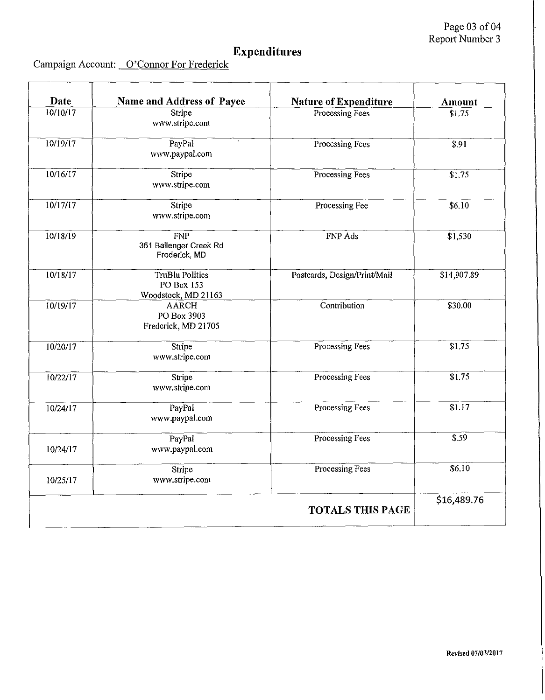# **Expenditures**

|  | Campaign Account: O'Connor For Frederick |
|--|------------------------------------------|
|--|------------------------------------------|

| Date     | Name and Address of Payee                            | <b>Nature of Expenditure</b> | Amount             |
|----------|------------------------------------------------------|------------------------------|--------------------|
| 10/10/17 | Stripe<br>www.stripe.com                             | Processing Fees              | \$1.75             |
| 10/19/17 | PayPal<br>www.paypal.com                             | Processing Fees              | $\overline{\$.91}$ |
| 10/16/17 | Stripe<br>www.stripe.com                             | Processing Fees              | \$1,75             |
| 10/17/17 | Stripe<br>www.stripe.com                             | Processing Fee               | \$6.10             |
| 10/18/19 | FNP<br>351 Ballenger Creek Rd<br>Frederick, MD       | FNP Ads                      | \$1,530            |
| 10/18/17 | TruBlu Politics<br>PO Box 153<br>Woodstock, MD 21163 | Postcards, Design/Print/Mail | \$14,907.89        |
| 10/19/17 | <b>AARCH</b><br>PO Box 3903<br>Frederick, MD 21705   | Contribution                 | \$30.00            |
| 10/20/17 | Stripe<br>www.stripe.com                             | Processing Fees              | \$1.75             |
| 10/22/17 | Stripe<br>www.stripe.com                             | Processing Fees              | \$1.75             |
| 10/24/17 | PayPal<br>www.paypal.com                             | Processing Fees              | \$1.17             |
| 10/24/17 | PayPal<br>www.paypal.com                             | Processing Fees              | \$.59              |
| 10/25/17 | Stripe<br>www.stripe.com                             | Processing Fees              | 56,10              |
|          |                                                      | <b>TOTALS THIS PAGE</b>      | \$16,489.76        |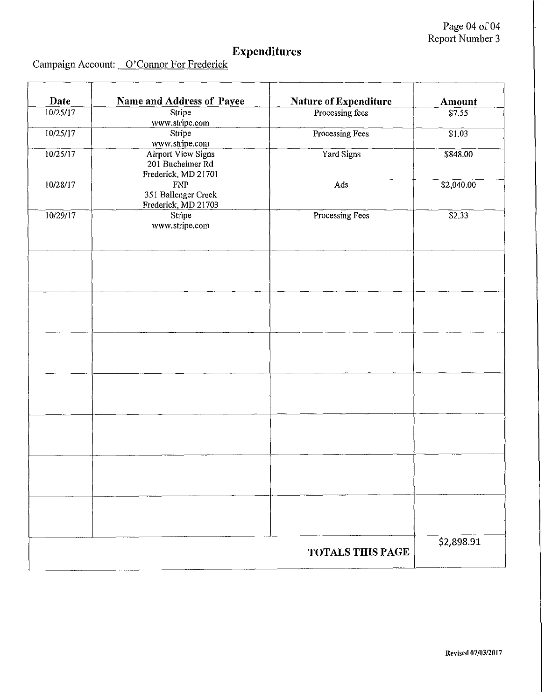Page 04 of 04 Report Number 3

# **Expenditures**

| Date     | <b>Name and Address of Payee</b>                                     | <b>Nature of Expenditure</b> | Amount             |
|----------|----------------------------------------------------------------------|------------------------------|--------------------|
| 10/25/17 | Stripe<br>www.stripe.com                                             | Processing fees              | \$7.55             |
| 10/25/17 | Stripe<br>www.stripe.com                                             | Processing Fees              | \$1.03             |
| 10/25/17 | <b>Airport View Signs</b><br>201 Bucheimer Rd<br>Frederick, MD 21701 | Yard Signs                   | \$848.00           |
| 10/28/17 | <b>FNP</b><br>351 Ballenger Creek<br>Frederick, MD 21703             | Ads                          | \$2,040.00         |
| 10/29/17 | Stripe<br>www.stripe.com                                             | Processing Fees              | $\overline{$2.33}$ |
|          |                                                                      |                              |                    |
|          |                                                                      |                              |                    |
|          |                                                                      |                              |                    |
|          |                                                                      |                              |                    |
|          |                                                                      |                              |                    |
|          |                                                                      |                              |                    |
|          |                                                                      |                              |                    |
|          |                                                                      |                              |                    |
|          |                                                                      |                              |                    |
|          |                                                                      |                              |                    |
|          |                                                                      |                              |                    |
|          |                                                                      | <b>TOTALS THIS PAGE</b>      | \$2,898.91         |

### Campaign Account: O'Connor For Frederick

 $\mathbf{r}$